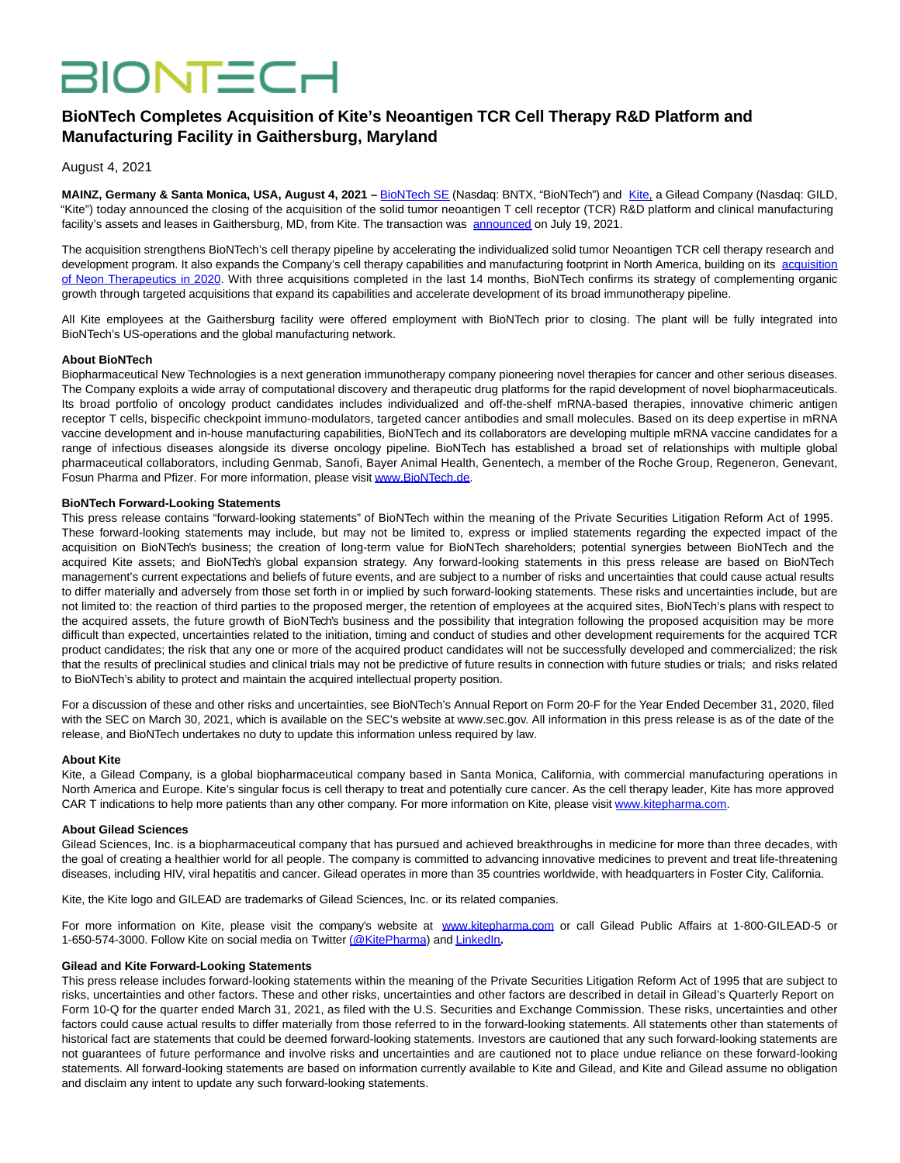# **BIONTECH**

# **BioNTech Completes Acquisition of Kite's Neoantigen TCR Cell Therapy R&D Platform and Manufacturing Facility in Gaithersburg, Maryland**

August 4, 2021

MAINZ, Germany & Santa Monica, USA, August 4, 2021 – [BioNTech SE \(](https://www.globenewswire.com/Tracker?data=rd-GqRgZzMAvrqdXdlZCZtWIr-1HWyTArNNvmD50nTmy38yKOl694yPgCc1EUzlDcRwLvaSZZ4fDi_mgCtCcJHiWNl88xlgxSPnv7IbOjjdeab0WzFWQKlkR5EzJDzicbrsnGiyKImvL-HFAKL7CGwmGLHJXTKW7ZvKM4rA9sRBshh27SsRpJTPn8ZFQ9mHnC2si1RVdrYRU2P6aVAtM0VY2r5t4-AalziVQxO5lq6c=)Nasdaq: BNTX, "BioNTech") and [Kite,](https://www.globenewswire.com/Tracker?data=H4C-hcf0HQdKBoPKhwSfI4dvQNZwKgjelS-XFyvXgYZRzf9yCeu4jV8cdqdaf7EVB8oISc0ioLW8qxctEjXrVQ==) a Gilead Company (Nasdaq: GILD, "Kite") today announced the closing of the acquisition of the solid tumor neoantigen T cell receptor (TCR) R&D platform and clinical manufacturing facility's assets and leases in Gaithersburg, MD, from Kite. The transaction was [announced o](https://www.globenewswire.com/Tracker?data=CtfxPETleqKZM8FjmNb2p9VDNQ4MG3ZK6vmaRnxQ3pgf0UeqRarcrzirdVO3a2EY7kIq1yRgO0Ekv6qJ86ZCKTaSJwZAkvIn7l2EXxmRfhq8rm7TRzW5qtOC9Kkvxsz_PbRdNy01WcUUEuJtqg7qEMkuqbswaA55I44kcWX52X6xqtFQTuoqDOq5d4s3RkQ0mVEF99kdYR5kBf3wLPuW9w==)n July 19, 2021.

The acquisition strengthens BioNTech's cell therapy pipeline by accelerating the individualized solid tumor Neoantigen TCR cell therapy research and development program. It also expands the Company's cell therapy capabilities and manufacturing footprint in North America, building on its [acquisition](https://www.globenewswire.com/Tracker?data=VdCDxXoP-JoGhXT3wCAyucc4Lk9MyzwgAaIOz2VimsXf8opXSPOGA3ASQ1yCdSh1dokBArMCqzmyLMofB2u2YL4Flw5Y-VI613GHw5ARdG9rGuNJ0i5sKnxnz5Jq-gq7mFbZBuIIhM7aN2hx3XE2XB1qaYXfFR-baRhDJCm56nV6Z_7foaUzGn36eWoDNFcFkwL58FTs4cIVuT6D4FHfSoaXEFc0b_1Zi3TIH0oHDb61D3mk92r8SUNKZPBOB57q) of Neon Therapeutics in 2020. With three acquisitions completed in the last 14 months, BioNTech confirms its strategy of complementing organic growth through targeted acquisitions that expand its capabilities and accelerate development of its broad immunotherapy pipeline.

All Kite employees at the Gaithersburg facility were offered employment with BioNTech prior to closing. The plant will be fully integrated into BioNTech's US-operations and the global manufacturing network.

## **About BioNTech**

Biopharmaceutical New Technologies is a next generation immunotherapy company pioneering novel therapies for cancer and other serious diseases. The Company exploits a wide array of computational discovery and therapeutic drug platforms for the rapid development of novel biopharmaceuticals. Its broad portfolio of oncology product candidates includes individualized and off-the-shelf mRNA-based therapies, innovative chimeric antigen receptor T cells, bispecific checkpoint immuno-modulators, targeted cancer antibodies and small molecules. Based on its deep expertise in mRNA vaccine development and in-house manufacturing capabilities, BioNTech and its collaborators are developing multiple mRNA vaccine candidates for a range of infectious diseases alongside its diverse oncology pipeline. BioNTech has established a broad set of relationships with multiple global pharmaceutical collaborators, including Genmab, Sanofi, Bayer Animal Health, Genentech, a member of the Roche Group, Regeneron, Genevant, Fosun Pharma and Pfizer. For more information, please visi[t www.BioNTech.de.](https://www.globenewswire.com/Tracker?data=Vx9hjgANMsd296jYISCp9oGZTbAse11kGSjpIGLlbDhhKml64HhHhzJzPBXNXG8EGpVUaNMUxmHHwEQ8hHEolw==)

#### **BioNTech Forward-Looking Statements**

This press release contains "forward-looking statements" of BioNTech within the meaning of the Private Securities Litigation Reform Act of 1995. These forward-looking statements may include, but may not be limited to, express or implied statements regarding the expected impact of the acquisition on BioNTech's business; the creation of long-term value for BioNTech shareholders; potential synergies between BioNTech and the acquired Kite assets; and BioNTech's global expansion strategy. Any forward-looking statements in this press release are based on BioNTech management's current expectations and beliefs of future events, and are subject to a number of risks and uncertainties that could cause actual results to differ materially and adversely from those set forth in or implied by such forward-looking statements. These risks and uncertainties include, but are not limited to: the reaction of third parties to the proposed merger, the retention of employees at the acquired sites, BioNTech's plans with respect to the acquired assets, the future growth of BioNTech's business and the possibility that integration following the proposed acquisition may be more difficult than expected, uncertainties related to the initiation, timing and conduct of studies and other development requirements for the acquired TCR product candidates; the risk that any one or more of the acquired product candidates will not be successfully developed and commercialized; the risk that the results of preclinical studies and clinical trials may not be predictive of future results in connection with future studies or trials; and risks related to BioNTech's ability to protect and maintain the acquired intellectual property position.

For a discussion of these and other risks and uncertainties, see BioNTech's Annual Report on Form 20-F for the Year Ended December 31, 2020, filed with the SEC on March 30, 2021, which is available on the SEC's website at www.sec.gov. All information in this press release is as of the date of the release, and BioNTech undertakes no duty to update this information unless required by law.

#### **About Kite**

Kite, a Gilead Company, is a global biopharmaceutical company based in Santa Monica, California, with commercial manufacturing operations in North America and Europe. Kite's singular focus is cell therapy to treat and potentially cure cancer. As the cell therapy leader, Kite has more approved CAR T indications to help more patients than any other company. For more information on Kite, please visi[t www.kitepharma.com.](https://www.globenewswire.com/Tracker?data=Vx9hjgANMsd296jYISCp9uJkQAPORq_d0P7tmu3qHxAa5sHSOvRgEEbsa4ft5PCkdWZwn1tci5hMMKgnzSog-uFXv3WwH3gs4QV59nzBQBc=)

### **About Gilead Sciences**

Gilead Sciences, Inc. is a biopharmaceutical company that has pursued and achieved breakthroughs in medicine for more than three decades, with the goal of creating a healthier world for all people. The company is committed to advancing innovative medicines to prevent and treat life-threatening diseases, including HIV, viral hepatitis and cancer. Gilead operates in more than 35 countries worldwide, with headquarters in Foster City, California.

Kite, the Kite logo and GILEAD are trademarks of Gilead Sciences, Inc. or its related companies.

For more information on Kite, please visit the company's website at [www.kitepharma.com](https://www.globenewswire.com/Tracker?data=Vx9hjgANMsd296jYISCp9j5WTYOgbp1nUaGrtGdY-XwKsS7q8Xbas0WOSSPaMevMAi3MH0WpwnrbcpP4m0_tvro9p6_0zCOeoQMoEQTwGSU=) or call Gilead Public Affairs at 1-800-GILEAD-5 or 1-650-574-3000. Follow Kite on social media on Twitter [\(@KitePharma\)](https://www.globenewswire.com/Tracker?data=iFWoF7pnp6Sh28S8ykqkp00YZ8BkMxqeqTTN_f3GN6cKOqpAwF6R_rBzCXTp0ou8Ljvs_HYgoCeh_F5CL_DGrBR3uS3BoS-KKJVmcoIPTdI=) an[d LinkedIn](https://www.globenewswire.com/Tracker?data=3NXdf6zn8By3dflg7qXH5uT4yrCKpqWnXKZIDQG92uIXhw6KVuzYROc6TJiexbaWoeod6tPERXdEsroV6DXYhpiDebAF6jhGuRnoNNYHMgk_rh3okHpNqqIoK_9hEfL_)**.**

#### **Gilead and Kite Forward-Looking Statements**

This press release includes forward-looking statements within the meaning of the Private Securities Litigation Reform Act of 1995 that are subject to risks, uncertainties and other factors. These and other risks, uncertainties and other factors are described in detail in Gilead's Quarterly Report on Form 10-Q for the quarter ended March 31, 2021, as filed with the U.S. Securities and Exchange Commission. These risks, uncertainties and other factors could cause actual results to differ materially from those referred to in the forward-looking statements. All statements other than statements of historical fact are statements that could be deemed forward-looking statements. Investors are cautioned that any such forward-looking statements are not guarantees of future performance and involve risks and uncertainties and are cautioned not to place undue reliance on these forward-looking statements. All forward-looking statements are based on information currently available to Kite and Gilead, and Kite and Gilead assume no obligation and disclaim any intent to update any such forward-looking statements.